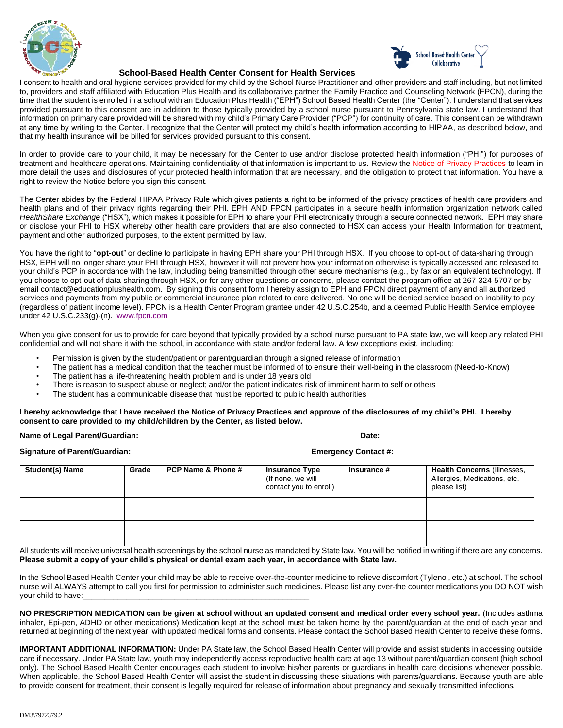



## **School-Based Health Center Consent for Health Services**

I consent to health and oral hygiene services provided for my child by the School Nurse Practitioner and other providers and staff including, but not limited to, providers and staff affiliated with Education Plus Health and its collaborative partner the Family Practice and Counseling Network (FPCN), during the time that the student is enrolled in a school with an Education Plus Health ("EPH") School Based Health Center (the "Center"). I understand that services provided pursuant to this consent are in addition to those typically provided by a school nurse pursuant to Pennsylvania state law. I understand that information on primary care provided will be shared with my child's Primary Care Provider ("PCP") for continuity of care. This consent can be withdrawn at any time by writing to the Center. I recognize that the Center will protect my child's health information according to HIPAA, as described below, and that my health insurance will be billed for services provided pursuant to this consent.

In order to provide care to your child, it may be necessary for the Center to use and/or disclose protected health information ("PHI") for purposes of treatment and healthcare operations. Maintaining confidentiality of that information is important to us. Review the Notice of Privacy Practices to learn in more detail the uses and disclosures of your protected health information that are necessary, and the obligation to protect that information. You have a right to review the Notice before you sign this consent.

The Center abides by the Federal HIPAA Privacy Rule which gives patients a right to be informed of the privacy practices of health care providers and health plans and of their privacy rights regarding their PHI. EPH AND FPCN participates in a secure health information organization network called *HealthShare Exchange* ("HSX"), which makes it possible for EPH to share your PHI electronically through a secure connected network. EPH may share or disclose your PHI to HSX whereby other health care providers that are also connected to HSX can access your Health Information for treatment, payment and other authorized purposes, to the extent permitted by law.

You have the right to "**opt-out**" or decline to participate in having EPH share your PHI through HSX. If you choose to opt-out of data-sharing through HSX, EPH will no longer share your PHI through HSX, however it will not prevent how your information otherwise is typically accessed and released to your child's PCP in accordance with the law, including being transmitted through other secure mechanisms (e.g., by fax or an equivalent technology). If you choose to opt-out of data-sharing through HSX, or for any other questions or concerns, please contact the program office at 267-324-5707 or by email [contact@educationplushealth.com.](mailto:contact@educationplushealth.com) By signing this consent form I hereby assign to EPH and FPCN direct payment of any and all authorized services and payments from my public or commercial insurance plan related to care delivered. No one will be denied service based on inability to pay (regardless of patient income level). FPCN is a Health Center Program grantee under 42 U.S.C.254b, and a deemed Public Health Service employee under 42 U.S.C.233(g)-(n). [www.fpcn.com](http://www.fpcn.com/)

When you give consent for us to provide for care beyond that typically provided by a school nurse pursuant to PA state law, we will keep any related PHI confidential and will not share it with the school, in accordance with state and/or federal law. A few exceptions exist, including:

- Permission is given by the student/patient or parent/guardian through a signed release of information
- The patient has a medical condition that the teacher must be informed of to ensure their well-being in the classroom (Need-to-Know)
- The patient has a life-threatening health problem and is under 18 years old
- There is reason to suspect abuse or neglect; and/or the patient indicates risk of imminent harm to self or others
- The student has a communicable disease that must be reported to public health authorities

#### **I hereby acknowledge that I have received the Notice of Privacy Practices and approve of the disclosures of my child's PHI. I hereby consent to care provided to my child/children by the Center, as listed below.**

**Name of Legal Parent/Guardian: \_\_\_\_\_\_\_\_\_\_\_\_\_\_\_\_\_\_\_\_\_\_\_\_\_\_\_\_\_\_\_\_\_\_\_\_\_\_\_\_\_\_\_\_\_\_\_\_\_\_ Date: \_\_\_\_\_\_\_\_\_\_\_**

|  | <b>Signature of Parent/Guardian:</b> |
|--|--------------------------------------|
|  |                                      |

**Emergency Contact #:\_\_\_\_\_\_\_\_\_\_\_\_\_\_\_** 

| <b>Student(s) Name</b> | Grade | PCP Name & Phone # | <b>Insurance Type</b><br>(If none, we will<br>contact you to enroll) | <b>Insurance #</b> | Health Concerns (Illnesses,<br>Allergies, Medications, etc.<br>please list) |
|------------------------|-------|--------------------|----------------------------------------------------------------------|--------------------|-----------------------------------------------------------------------------|
|                        |       |                    |                                                                      |                    |                                                                             |
|                        |       |                    |                                                                      |                    |                                                                             |

All students will receive universal health screenings by the school nurse as mandated by State law. You will be notified in writing if there are any concerns. **Please submit a copy of your child's physical or dental exam each year, in accordance with State law.**

In the School Based Health Center your child may be able to receive over-the-counter medicine to relieve discomfort (Tylenol, etc.) at school. The school nurse will ALWAYS attempt to call you first for permission to administer such medicines. Please list any over-the counter medications you DO NOT wish your child to have:

**NO PRESCRIPTION MEDICATION can be given at school without an updated consent and medical order every school year.** (Includes asthma inhaler, Epi-pen, ADHD or other medications) Medication kept at the school must be taken home by the parent/guardian at the end of each year and returned at beginning of the next year, with updated medical forms and consents. Please contact the School Based Health Center to receive these forms.

**IMPORTANT ADDITIONAL INFORMATION:** Under PA State law, the School Based Health Center will provide and assist students in accessing outside care if necessary. Under PA State law, youth may independently access reproductive health care at age 13 without parent/guardian consent (high school only). The School Based Health Center encourages each student to involve his/her parents or guardians in health care decisions whenever possible. When applicable, the School Based Health Center will assist the student in discussing these situations with parents/guardians. Because youth are able to provide consent for treatment, their consent is legally required for release of information about pregnancy and sexually transmitted infections.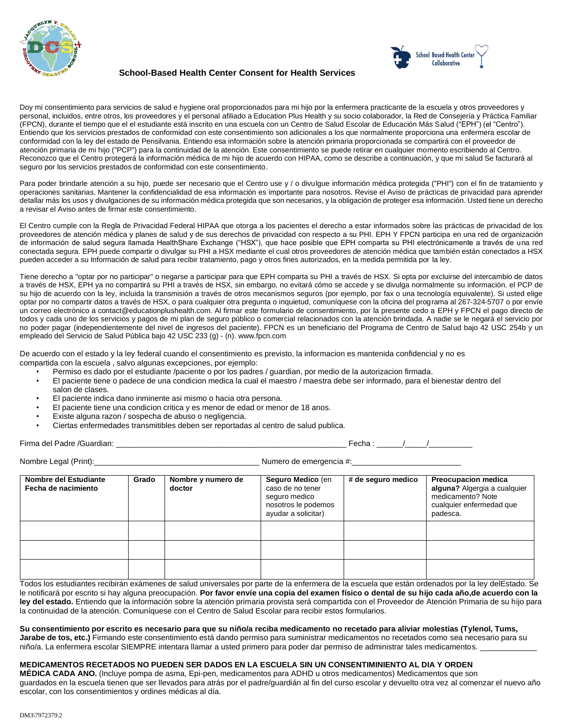



# **School-Based Health Center Consent for Health Services**

Doy mi consentimiento para servicios de salud e hygiene oral proporcionados para mi hijo por la enfermera practicante de la escuela y otros proveedores y personal, incluidos, entre otros, los proveedores y el personal afiliado a Education Plus Health y su socio colaborador, la Red de Consejería y Práctica Familiar (FPCN), durante el tiempo que el el estudiante está inscrito en una escuela con un Centro de Salud Escolar de Educación Más Salud ("EPH") (el "Centro"). Entiendo que los servicios prestados de conformidad con este consentimiento son adicionales a los que normalmente proporciona una enfermera escolar de conformidad con la ley del estado de Pensilvania. Entiendo esa información sobre la atención primaria proporcionada se compartirá con el proveedor de atención primaria de mi hijo ("PCP") para la continuidad de la atención. Este consentimiento se puede retirar en cualquier momento escribiendo al Centro. Reconozco que el Centro protegerá la información médica de mi hijo de acuerdo con HIPAA, como se describe a continuación, y que mi salud Se facturará al seguro por los servicios prestados de conformidad con este consentimiento.

Para poder brindarle atención a su hijo, puede ser necesario que el Centro use y / o divulgue información médica protegida ("PHI") con el fin de tratamiento y operaciones sanitarias. Mantener la confidencialidad de esa información es importante para nosotros. Revise el Aviso de prácticas de privacidad para aprender detallar más los usos y divulgaciones de su información médica protegida que son necesarios, y la obligación de proteger esa información. Usted tiene un derecho a revisar el Aviso antes de firmar este consentimiento.

El Centro cumple con la Regla de Privacidad Federal HIPAA que otorga a los pacientes el derecho a estar informados sobre las prácticas de privacidad de los proveedores de atención médica y planes de salud y de sus derechos de privacidad con respecto a su PHI. EPH Y FPCN participa en una red de organización de información de salud segura llamada HealthShare Exchange ("HSX"), que hace posible que EPH comparta su PHI electrónicamente a través de una red conectada segura. EPH puede compartir o divulgar su PHI a HSX mediante el cual otros proveedores de atención médica que también están conectados a HSX pueden acceder a su Información de salud para recibir tratamiento, pago y otros fines autorizados, en la medida permitida por la ley.

Tiene derecho a "optar por no participar" o negarse a participar para que EPH comparta su PHI a través de HSX. Si opta por excluirse del intercambio de datos a través de HSX, EPH ya no compartirá su PHI a través de HSX, sin embargo, no evitará cómo se accede y se divulga normalmente su información. el PCP de su hijo de acuerdo con la ley, incluida la transmisión a través de otros mecanismos seguros (por ejemplo, por fax o una tecnología equivalente). Si usted elige optar por no compartir datos a través de HSX, o para cualquier otra pregunta o inquietud, comuníquese con la oficina del programa al 267-324-5707 o por envíe un correo electrónico a contact@educationplushealth.com. Al firmar este formulario de consentimiento, por la presente cedo a EPH y FPCN el pago directo de todos y cada uno de los servicios y pagos de mi plan de seguro público o comercial relacionados con la atención brindada. A nadie se le negará el servicio por no poder pagar (independientemente del nivel de ingresos del paciente). FPCN es un beneficiario del Programa de Centro de Salud bajo 42 USC 254b y un empleado del Servicio de Salud Pública bajo 42 USC 233 (g) - (n). www.fpcn.com

De acuerdo con el estado y la ley federal cuando el consentimiento es previsto, la informacion es mantenida confidencial y no es compartida con la escuela , salvo algunas excepciones, por ejemplo:

- Permiso es dado por el estudiante /paciente o por los padres / guardian, por medio de la autorizacion firmada.
- El paciente tiene o padece de una condicion medica la cual el maestro / maestra debe ser informado, para el bienestar dentro del salon de clases.
- El paciente indica dano inminente asi mismo o hacia otra persona.
- El paciente tiene una condicion critica y es menor de edad or menor de 18 anos.
- Existe alguna razon / sospecha de abuso o negligencia.
- Ciertas enfermedades transmitibles deben ser reportadas al centro de salud publica.

Firma del Padre /Guardian: \_\_\_\_\_\_\_\_\_\_\_\_\_\_\_\_\_\_\_\_\_\_\_\_\_\_\_\_\_\_\_\_\_\_\_\_\_\_\_\_\_\_\_\_\_\_\_\_\_\_\_\_\_ Fecha : \_\_\_\_\_\_/\_\_\_\_\_/\_\_\_\_\_\_\_\_\_\_

Nombre Legal (Print):\_\_\_\_\_\_\_\_\_\_\_\_\_\_\_\_\_\_\_\_\_\_\_\_\_\_\_\_\_\_\_\_\_\_\_\_\_\_ Numero de emergencia #:\_\_\_\_\_\_\_\_\_\_\_\_\_\_\_\_\_\_\_\_\_\_\_\_\_

| Nombre del Estudiante<br>Fecha de nacimiento | Grado | Nombre y numero de<br>doctor | Seguro Medico (en<br>caso de no tener<br>seguro medico<br>nosotros le podemos<br>ayudar a solicitar) | # de seguro medico | <b>Preocupacion medica</b><br>alguna? Algergia a cualquier<br>medicamento? Note<br>cualquier enfermedad que<br>padesca. |
|----------------------------------------------|-------|------------------------------|------------------------------------------------------------------------------------------------------|--------------------|-------------------------------------------------------------------------------------------------------------------------|
|                                              |       |                              |                                                                                                      |                    |                                                                                                                         |
|                                              |       |                              |                                                                                                      |                    |                                                                                                                         |
|                                              |       |                              |                                                                                                      |                    |                                                                                                                         |

Todos los estudiantes recibirán exámenes de salud universales por parte de la enfermera de la escuela que están ordenados por la ley delEstado. Se le notificará por escrito si hay alguna preocupación. **Por favor envíe una copia del examen físico o dental de su hijo cada año,de acuerdo con la ley del estado.** Entiendo que la información sobre la atención primaria provista será compartida con el Proveedor de Atención Primaria de su hijo para la continuidad de la atención. Comuníquese con el Centro de Salud Escolar para recibir estos formularios.

#### **Su consentimiento por escrito es necesario para que su niño/a reciba medicamento no recetado para aliviar molestias (Tylenol, Tums, Jarabe de tos, etc.)** Firmando este consentimiento está dando permiso para suministrar medicamentos no recetados como sea necesario para su

niño/a. La enfermera escolar SIEMPRE intentara llamar a usted primero para poder dar permiso de administrar tales medicamentos. \_

# **MEDICAMENTOS RECETADOS NO PUEDEN SER DADOS EN LA ESCUELA SIN UN CONSENTIMINIENTO AL DIA Y ORDEN**

**MÉDICA CADA ANO.** (Incluye pompa de asma, Epi-pen, medicamentos para ADHD u otros medicamentos) Medicamentos que son guardados en la escuela tienen que ser llevados para atrás por el padre/guardián al fin del curso escolar y devuelto otra vez al comenzar el nuevo año escolar, con los consentimientos y ordines médicas al día.